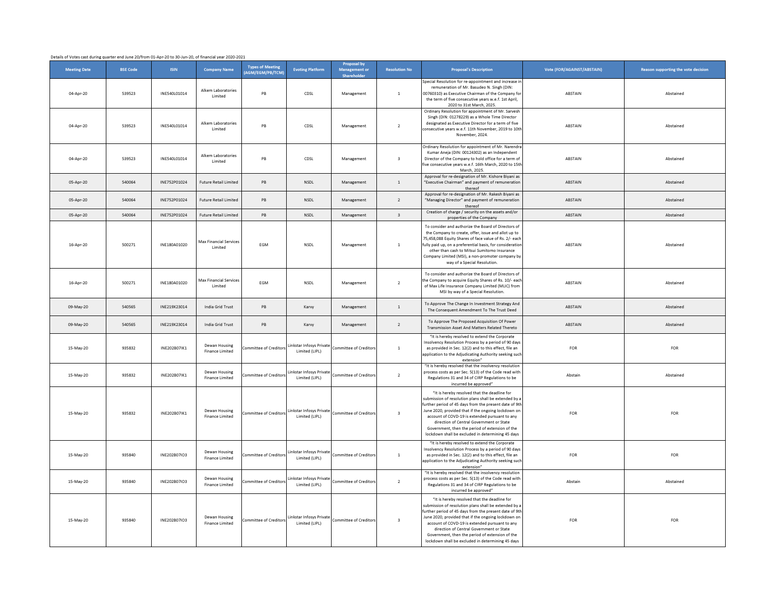| Details of Votes cast during quarter end June 20/from 01-Apr-20 to 30-Jun-20, of financial year 2020-2021 |  |
|-----------------------------------------------------------------------------------------------------------|--|
|-----------------------------------------------------------------------------------------------------------|--|

| <b>Meeting Date</b> | <b>BSE Code</b> | <b>ISIN</b>  | <b>Company Name</b>                     | <b>Types of Meeting</b><br>(AGM/EGM/PB/TCM) | <b>Evoting Platform</b>                    | Proposal by<br><b>Management or</b><br>Shareholder | <b>Resolution No</b>    | <b>Proposal's Description</b>                                                                                                                                                                                                                                                                                                                                                                                             | Vote (FOR/AGAINST/ABSTAIN) | Reason supporting the vote decision |
|---------------------|-----------------|--------------|-----------------------------------------|---------------------------------------------|--------------------------------------------|----------------------------------------------------|-------------------------|---------------------------------------------------------------------------------------------------------------------------------------------------------------------------------------------------------------------------------------------------------------------------------------------------------------------------------------------------------------------------------------------------------------------------|----------------------------|-------------------------------------|
| 04-Apr-20           | 539523          | INE540L01014 | Alkem Laboratories<br><b>Limited</b>    | PB                                          | CDSL                                       | Management                                         | $\mathbf{1}$            | Special Resolution for re-appointment and increase i<br>remuneration of Mr. Basudeo N. Singh (DIN:<br>00760310) as Executive Chairman of the Company fo<br>the term of five consecutive years w.e.f. 1st April,<br>2020 to 31st March, 2025.                                                                                                                                                                              | ABSTAIN                    | Abstained                           |
| 04-Apr-20           | 539523          | INF540101014 | Alkem Laboratories<br><b>Limited</b>    | <b>PB</b>                                   | CDSL                                       | Management                                         | $\overline{2}$          | Ordinary Resolution for appointment of Mr. Sarvesh<br>Singh (DIN: 01278229) as a Whole Time Director<br>designated as Executive Director for a term of five<br>consecutive years w.e.f. 11th November, 2019 to 10th<br>November, 2024.                                                                                                                                                                                    | ABSTAIN                    | Abstained                           |
| 04-Apr-20           | 539523          | INE540L01014 | Alkem Laboratories<br><b>Limited</b>    | <b>PB</b>                                   | CDSL                                       | Management                                         | $\overline{3}$          | Ordinary Resolution for appointment of Mr. Narendra<br>Kumar Aneja (DIN: 00124302) as an Independent<br>Director of the Company to hold office for a term of<br>five consecutive years w.e.f. 16th March, 2020 to 15th<br>March, 2025.                                                                                                                                                                                    | ABSTAIN                    | Abstained                           |
| 05-Apr-20           | 540064          | INE752P01024 | <b>Future Retail Limited</b>            | PB                                          | NSDL                                       | Management                                         | $\mathbf{1}$            | Approval for re-designation of Mr. Kishore Biyani as<br>"Executive Chairman" and payment of remuneratior<br>thereof                                                                                                                                                                                                                                                                                                       | ABSTAIN                    | Abstained                           |
| 05-Apr-20           | 540064          | INE752P01024 | <b>Future Retail Limited</b>            | PB                                          | NSDL                                       | Management                                         | $\overline{2}$          | Approval for re-designation of Mr. Rakesh Biyani as<br>"Managing Director" and payment of remuneration<br>thereof                                                                                                                                                                                                                                                                                                         | ABSTAIN                    | Abstained                           |
| 05-Apr-20           | 540064          | INE752P01024 | <b>Future Retail Limited</b>            | PB                                          | NSDL                                       | Management                                         | $\overline{\mathbf{3}}$ | Creation of charge / security on the assets and/or<br>properties of the Company                                                                                                                                                                                                                                                                                                                                           | ABSTAIN                    | Abstained                           |
| 16-Apr-20           | 500271          | INE180A01020 | Max Financial Service<br>Limited        | EGM                                         | NSDL                                       | Management                                         | $\mathbf{1}$            | To consider and authorize the Board of Directors of<br>the Company to create, offer, issue and allot up to<br>75,458,088 Equity Shares of face value of Rs. 2/- each<br>fully paid up, on a preferential basis, for consideratio<br>other than cash to Mitsui Sumitomo Insurance<br>Company Limited (MSI), a non-promoter company by<br>way of a Special Resolution.                                                      | ABSTAIN                    | Abstained                           |
| 16-Apr-20           | 500271          | INE180A01020 | Max Financial Services<br>Limited       | EGM                                         | NSDL                                       | Management                                         | $\overline{2}$          | To consider and authorize the Board of Directors of<br>he Company to acquire Equity Shares of Rs. 10/- each<br>of Max Life Insurance Company Limited (MLIC) fron<br>MSI by way of a Special Resolution.                                                                                                                                                                                                                   | ABSTAIN                    | Abstained                           |
| 09-May-20           | 540565          | INE219X23014 | India Grid Trust                        | PB                                          | Karyy                                      | Management                                         | $\mathbf{1}$            | To Approve The Change In Investment Strategy And<br>The Consequent Amendment To The Trust Deed                                                                                                                                                                                                                                                                                                                            | ABSTAIN                    | Abstained                           |
| 09-May-20           | 540565          | INE219X23014 | India Grid Trust                        | PB                                          | Karvy                                      | Management                                         | $\overline{2}$          | To Approve The Proposed Acquisition Of Power<br>Transmission Asset And Matters Related Thereto                                                                                                                                                                                                                                                                                                                            | ABSTAIN                    | Abstained                           |
| 15-May-20           | 935832          | INE202B07IK1 | Dewan Housing<br><b>Finance Limited</b> | Committee of Creditors                      | Linkstar Infosys Private<br>Limited (LIPL) | Committee of Creditor                              | $\,$ 1 $\,$             | "It is hereby resolved to extend the Corporate<br>nsolvency Resolution Process by a period of 90 days<br>as provided in Sec. 12(2) and to this effect, file an<br>application to the Adiudicating Authority seeking suc<br>extension"                                                                                                                                                                                     | FOR                        | FOR                                 |
| 15-May-20           | 935832          | INE202B07IK1 | Dewan Housing<br><b>Finance Limited</b> | Committee of Creditors                      | Linkstar Infosys Private<br>Limited (LIPL) | Committee of Creditor                              | $\overline{2}$          | "It is hereby resolved that the insolvency resolutior<br>process costs as per Sec. 5(13) of the Code read with<br>Regulations 31 and 34 of CIRP Regulations to be<br>incurred be approved"                                                                                                                                                                                                                                | Abstain                    | Abstained                           |
| 15-May-20           | 935832          | INE202B07IK1 | Dewan Housing<br><b>Finance Limited</b> | <b>Committee of Creditors</b>               | Linkstar Infosys Private<br>Limited (LIPL) | Committee of Creditor                              | $\overline{\mathbf{3}}$ | "It is hereby resolved that the deadline for<br>submission of resolution plans shall be extended by<br>further period of 45 days from the present date of 9t<br>June 2020, provided that if the ongoing lockdown or<br>account of COVD-19 is extended pursuant to any<br>direction of Central Government or State<br>Government, then the period of extension of the<br>lockdown shall be excluded in determining 45 days | FOR                        | FOR                                 |
| 15-May-20           | 935840          | INE202B07IO3 | Dewan Housing<br><b>Finance Limited</b> | <b>Committee of Creditors</b>               | Linkstar Infosys Private<br>Limited (LIPL) | Committee of Creditors                             | $\mathbf{1}$            | "It is hereby resolved to extend the Corporate<br>Insolvency Resolution Process by a period of 90 day<br>as provided in Sec. 12(2) and to this effect, file an<br>application to the Adjudicating Authority seeking such<br>extension"                                                                                                                                                                                    | FOR                        | FOR                                 |
| 15-May-20           | 935840          | INE202B07IO3 | Dewan Housing<br>Finance Limited        | Committee of Creditors                      | inkstar Infosys Private<br>Limited (LIPL)  | Committee of Creditors                             | $\overline{2}$          | "It is hereby resolved that the insolvency resolutior<br>process costs as per Sec. 5(13) of the Code read with<br>Regulations 31 and 34 of CIRP Regulations to be<br>incurred be approved"                                                                                                                                                                                                                                | Abstain                    | Abstained                           |
| 15-May-20           | 935840          | INE202B07IO3 | Dewan Housing<br>Finance Limited        | <b>Committee of Creditors</b>               | Linkstar Infosys Private<br>Limited (LIPL) | Committee of Creditors                             | $\overline{\mathbf{3}}$ | "It is hereby resolved that the deadline for<br>submission of resolution plans shall be extended by<br>further period of 45 days from the present date of 9t<br>June 2020, provided that if the ongoing lockdown of<br>account of COVD-19 is extended pursuant to any<br>direction of Central Government or State<br>Government, then the period of extension of the<br>lockdown shall be excluded in determining 45 days | FOR                        | FOR                                 |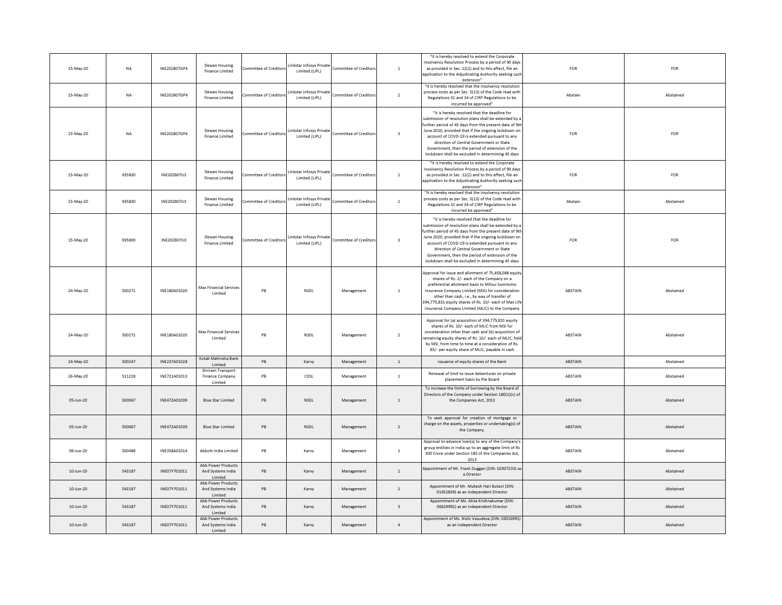| 15-May-20    | NA        | INE202B07GP4 | Dewan Housing<br><b>Finance Limited</b>                   | ommittee of Creditor   | Linkstar Infosys Private<br>Limited (LIPL) | Committee of Creditor: | $\,$ 1                  | "It is hereby resolved to extend the Corporate<br>Insolvency Resolution Process by a period of 90 days<br>as provided in Sec. 12(2) and to this effect, file an<br>application to the Adjudicating Authority seeking suc<br>extension"                                                                                                                                                                                       | FOR        | FOR       |
|--------------|-----------|--------------|-----------------------------------------------------------|------------------------|--------------------------------------------|------------------------|-------------------------|------------------------------------------------------------------------------------------------------------------------------------------------------------------------------------------------------------------------------------------------------------------------------------------------------------------------------------------------------------------------------------------------------------------------------|------------|-----------|
| 15-May-20    | <b>NA</b> | INE202B07GP4 | Dewan Housing<br><b>Finance Limited</b>                   | Committee of Creditors | Linkstar Infosys Private<br>Limited (LIPL) | Committee of Creditor: | $\overline{2}$          | "It is hereby resolved that the insolvency resolutior<br>process costs as per Sec. 5(13) of the Code read with<br>Regulations 31 and 34 of CIRP Regulations to be<br>incurred be approved"                                                                                                                                                                                                                                   | Abstain    | Abstained |
| 15-May-20    | <b>NA</b> | INE202B07GP4 | Dewan Housing<br>Finance Limited                          | ommittee of Creditors  | Linkstar Infosys Private<br>Limited (LIPL) | Committee of Creditor: | $\overline{\mathbf{3}}$ | "It is hereby resolved that the deadline for<br>submission of resolution plans shall be extended by a<br>further period of 45 days from the present date of 9th<br>June 2020, provided that if the ongoing lockdown or<br>account of COVD-19 is extended pursuant to any<br>direction of Central Government or State<br>Government, then the period of extension of the<br>lockdown shall be excluded in determining 45 days | <b>FOR</b> | FOR       |
| 15-May-20    | 935830    | INE202B07IJ3 | Dewan Housing<br>Finance Limited                          | Committee of Creditors | Linkstar Infosys Private<br>Limited (LIPL) | Committee of Creditor: | $\,$ 1                  | "It is hereby resolved to extend the Corporate<br>Insolvency Resolution Process by a period of 90 days<br>as provided in Sec. 12(2) and to this effect, file an<br>application to the Adjudicating Authority seeking suc<br>extension"                                                                                                                                                                                       | FOR        | FOR       |
| 15-May-20    | 935830    | INE202B07IJ3 | Dewan Housing<br><b>Finance Limited</b>                   | Committee of Creditor  | Linkstar Infosys Private<br>Limited (LIPL) | Committee of Creditor: | $\overline{2}$          | "It is hereby resolved that the insolvency resolution<br>process costs as per Sec. 5(13) of the Code read with<br>Regulations 31 and 34 of CIRP Regulations to be<br>incurred be approved"                                                                                                                                                                                                                                   | Abstain    | Abstained |
| 15-May-20    | 935830    | INE202B07IJ3 | Dewan Housing<br><b>Finance Limited</b>                   | Committee of Creditors | Linkstar Infosys Private<br>Limited (LIPL) | Committee of Creditor: | $\overline{\mathbf{3}}$ | "It is hereby resolved that the deadline for<br>submission of resolution plans shall be extended by<br>further period of 45 days from the present date of 9t<br>June 2020, provided that if the ongoing lockdown or<br>account of COVD-19 is extended pursuant to any<br>direction of Central Government or State<br>Government, then the period of extension of the<br>lockdown shall be excluded in determining 45 days    | <b>FOR</b> | FOR       |
| 24-May-20    | 500271    | INE180A01020 | Max Financial Service<br>Limited                          | PB                     | NSDL                                       | Management             | $\,$ 1                  | Approval for issue and allotment of 75,458,088 equity<br>shares of Rs. 2/- each of the Company on a<br>preferential allotment basis to Mitsui Sumitomo<br>Insurance Company Limited (MSI) for consideration<br>other than cash, i.e., by way of transfer of<br>394,775,831 equity shares of Rs. 10/- each of Max Life<br>Insurance Company Limited (MLIC) to the Company                                                     | ABSTAIN    | Abstained |
| 24-May-20    | 500271    | INE180A01020 | Max Financial Service<br><b>Limited</b>                   | PB                     | <b>NSDL</b>                                | Management             | $\overline{2}$          | Approval for (a) acquisition of 394,775,831 equity<br>shares of Rs. 10/- each of MLIC from MSI for<br>consideration other than cash and (b) acquisition of<br>remaining equity shares of Rs. 10/- each of MLIC, held<br>by MSI, from time to time at a consideration of Rs.<br>85/- per equity share of MLIC, payable in cash                                                                                                | ABSTAIN    | Abstained |
| 24-May-20    | 500247    | INE237A01028 | Kotak Mahindra Bank<br>Limited                            | PB                     | Karvy                                      | Management             | $\,$ 1                  | Issuance of equity shares of the Bank                                                                                                                                                                                                                                                                                                                                                                                        | ABSTAIN    | Abstained |
| 26-May-20    | 511218    | INE721A01013 | Shriram Transport<br>Finance Company<br>Limited           | PB                     | CDSL                                       | Management             | $\overline{1}$          | Renewal of limit to issue debentures on private<br>placement basis by the Board                                                                                                                                                                                                                                                                                                                                              | ABSTAIN    | Abstained |
| 05-Jun-20    | 500067    | INE472A01039 | <b>Blue Star Limited</b>                                  | PB                     | NSDL                                       | Management             | $\,$ 1 $\,$             | To increase the limits of borrowing by the Board of<br>Directors of the Company under Section 180(1)(c) of<br>the Companies Act, 2013                                                                                                                                                                                                                                                                                        | ABSTAIN    | Abstained |
| $05$ -Jun-20 | 500067    | INF472A01039 | <b>Blue Star Limited</b>                                  | <b>PB</b>              | <b>NSDI</b>                                | Management             | $\overline{2}$          | To seek approval for creation of mortgage or<br>charge on the assets, properties or undertaking(s) of<br>the Company.                                                                                                                                                                                                                                                                                                        | ABSTAIN    | Abstained |
| 06-Jun-20    | 500488    | INE358A01014 | Abbott India Limited                                      | PB                     | Karvy                                      | Management             | $\overline{1}$          | Approval to advance loan(s) to any of the Company's<br>group entities in India up to an aggregate limit of Rs<br>300 Crore under Section 185 of the Companies Act,<br>2013                                                                                                                                                                                                                                                   | ABSTAIN    | Abstained |
| 10-Jun-20    | 543187    | INE07Y701011 | Abb Power Products<br>And Systems India<br>Limited        | PB                     | Karvy                                      | Management             | $\,$ 1                  | Appointment of Mr. Frank Duggan (DIN: 02937233) as<br>a Director                                                                                                                                                                                                                                                                                                                                                             | ABSTAIN    | Abstained |
| 10-Jun-20    | 543187    | INE07Y701011 | Abb Power Products<br>And Systems India<br>Limited        | PB                     | Karvy                                      | Management             | $\overline{2}$          | Appointment of Mr. Mukesh Hari Butani (DIN:<br>01452839) as an Independent Director                                                                                                                                                                                                                                                                                                                                          | ABSTAIN    | Abstained |
| 10-Jun-20    | 543187    | INE07Y701011 | <b>Abb Power Products</b><br>And Systems India<br>Limited | PB                     | Karvy                                      | Management             | $\overline{\mathbf{3}}$ | Appointment of Ms. Akila Krishnakumar (DIN:<br>06629992) as an Independent Director                                                                                                                                                                                                                                                                                                                                          | ABSTAIN    | Abstained |
| 10-Jun-20    | 543187    | INE07Y701011 | Abb Power Products<br>And Systems India<br>Limited        | PB                     | Karvy                                      | Management             | $\overline{4}$          | Appointment of Ms. Nishi Vasudeva (DIN: 03016991)<br>as an Independent Director                                                                                                                                                                                                                                                                                                                                              | ABSTAIN    | Abstained |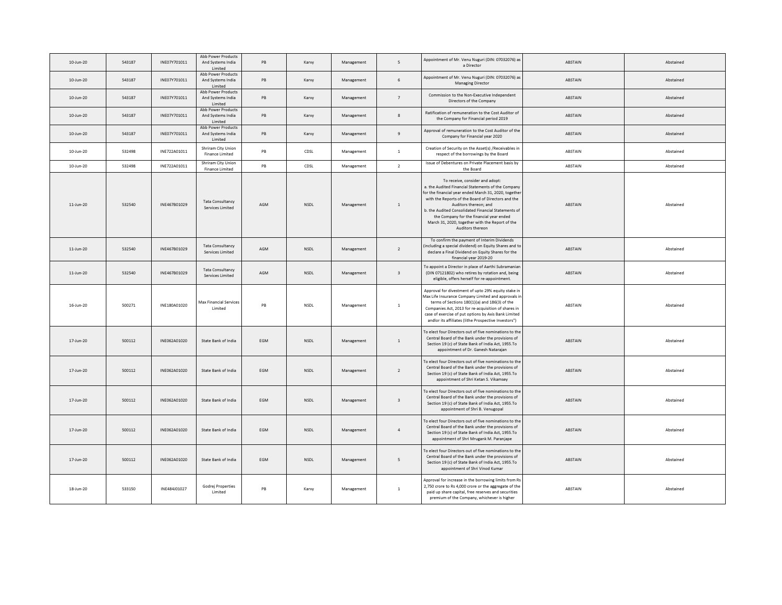| 10-Jun-20    | 543187 | INE07Y701011 | Abb Power Products<br>And Systems India<br>Limited | PB         | Karvy       | Management | 5                       | Appointment of Mr. Venu Nuguri (DIN: 07032076) as<br>a Director                                                                                                                                                                                                                                                                                                                                        | ABSTAIN        | Abstained |
|--------------|--------|--------------|----------------------------------------------------|------------|-------------|------------|-------------------------|--------------------------------------------------------------------------------------------------------------------------------------------------------------------------------------------------------------------------------------------------------------------------------------------------------------------------------------------------------------------------------------------------------|----------------|-----------|
| 10-Jun-20    | 543187 | INE07Y701011 | Abb Power Products<br>And Systems India<br>Limited | PB         | Karvy       | Management | $\,$ 6                  | Appointment of Mr. Venu Nuguri (DIN: 07032076) as<br>Managing Director                                                                                                                                                                                                                                                                                                                                 | ABSTAIN        | Abstained |
| 10-Jun-20    | 543187 | INE07Y701011 | Abb Power Products<br>And Systems India<br>Limited | PB         | Karvy       | Management | $\overline{7}$          | Commission to the Non-Executive Independent<br>Directors of the Company                                                                                                                                                                                                                                                                                                                                | ABSTAIN        | Abstained |
| $10-1un-20$  | 543187 | INE07Y701011 | Abb Power Products<br>And Systems India<br>Limited | PB         | Karvy       | Management | $\boldsymbol{8}$        | Ratification of remuneration to the Cost Auditor of<br>the Company for Financial period 2019                                                                                                                                                                                                                                                                                                           | ABSTAIN        | Abstained |
| 10-Jun-20    | 543187 | INE07Y701011 | Abb Power Products<br>And Systems India<br>Limited | PB         | Karvy       | Management | $\,$ 9                  | Approval of remuneration to the Cost Auditor of the<br>Company for Financial year 2020                                                                                                                                                                                                                                                                                                                 | ABSTAIN        | Abstained |
| 10-Jun-20    | 532498 | INE722A01011 | Shriram City Union<br>Finance Limited              | PB         | CDSL        | Management | $\,$ 1 $\,$             | Creation of Security on the Asset(s) /Receivables in<br>respect of the borrowings by the Board                                                                                                                                                                                                                                                                                                         | ABSTAIN        | Abstained |
| 10-Jun-20    | 532498 | INE722A01011 | Shriram City Union<br>Finance Limited              | PB         | CDSL        | Management | $\overline{2}$          | Issue of Debentures on Private Placement basis by<br>the Board                                                                                                                                                                                                                                                                                                                                         | ABSTAIN        | Abstained |
| 11-Jun-20    | 532540 | INE467B01029 | Tata Consultancy<br>Services Limited               | AGM        | <b>NSDI</b> | Management | $\,$ 1 $\,$             | To receive, consider and adopt:<br>a. the Audited Financial Statements of the Company<br>for the financial year ended March 31, 2020, togethe<br>with the Reports of the Board of Directors and the<br>Auditors thereon: and<br>b. the Audited Consolidated Financial Statements of<br>the Company for the financial year ended<br>March 31, 2020, together with the Report of the<br>Auditors thereon | ABSTAIN        | Abstained |
| 11-Jun-20    | 532540 | INE467B01029 | Tata Consultancy<br>Services Limited               | AGM        | <b>NSDL</b> | Management | $\overline{2}$          | To confirm the payment of Interim Dividends<br>(including a special dividend) on Equity Shares and to<br>declare a Final Dividend on Equity Shares for the<br>financial year 2019-20                                                                                                                                                                                                                   | ABSTAIN        | Abstained |
| 11-Jun-20    | 532540 | INE467B01029 | Tata Consultancy<br>Services Limited               | AGM        | <b>NSDL</b> | Management | $\overline{\mathbf{3}}$ | To appoint a Director in place of Aarthi Subramaniar<br>(DIN 07121802) who retires by rotation and, being<br>eligible, offers herself for re-appointment.                                                                                                                                                                                                                                              | ABSTAIN        | Abstained |
| 16-Jun-20    | 500271 | INE180A01020 | <b>Max Financial Service</b><br><b>Limited</b>     | PB         | <b>NSDI</b> | Management | <sup>1</sup>            | Approval for divestment of upto 29% equity stake in<br>Max Life Insurance Company Limited and approvals in<br>terms of Sections 180(1)(a) and 186(3) of the<br>Companies Act, 2013 for re-acquisition of shares in<br>case of exercise of put options by Axis Bank Limited<br>andlor its affiliates (lithe Prospective Investors")                                                                     | <b>ABSTAIN</b> | Abstained |
| 17-Jun-20    | 500112 | INE062A01020 | State Bank of India                                | EGM        | <b>NSDL</b> | Management | $\mathbf{1}$            | To elect four Directors out of five nominations to the<br>Central Board of the Bank under the provisions of<br>Section 19 (c) of State Bank of India Act, 1955. To<br>appointment of Dr. Ganesh Natarajan                                                                                                                                                                                              | ABSTAIN        | Abstained |
| 17-Jun-20    | 500112 | INE062A01020 | State Bank of India                                | EGM        | <b>NSDL</b> | Management | $\overline{2}$          | To elect four Directors out of five nominations to the<br>Central Board of the Bank under the provisions of<br>Section 19 (c) of State Bank of India Act, 1955. To<br>appointment of Shri Ketan S. Vikamsey                                                                                                                                                                                            | ABSTAIN        | Abstained |
| 17-Jun-20    | 500112 | INE062A01020 | State Bank of India                                | EGM        | <b>NSDL</b> | Management | $\overline{\mathbf{3}}$ | To elect four Directors out of five nominations to the<br>Central Board of the Bank under the provisions of<br>Section 19 (c) of State Bank of India Act, 1955. To<br>appointment of Shri B. Venugopal                                                                                                                                                                                                 | ABSTAIN        | Abstained |
| $17-$ lun-20 | 500112 | INE062A01020 | State Bank of India                                | EGM        | <b>NSDI</b> | Management | $\overline{4}$          | To elect four Directors out of five nominations to the<br>Central Board of the Bank under the provisions of<br>Section 19 (c) of State Bank of India Act, 1955. To<br>appointment of Shri Mrugank M. Paranjape                                                                                                                                                                                         | ABSTAIN        | Abstained |
| 17-Jun-20    | 500112 | INE062A01020 | State Bank of India                                | <b>FGM</b> | <b>NSDL</b> | Management | 5                       | To elect four Directors out of five nominations to the<br>Central Board of the Bank under the provisions of<br>Section 19 (c) of State Bank of India Act, 1955. To<br>appointment of Shri Vinod Kumar                                                                                                                                                                                                  | ABSTAIN        | Abstained |
| 18-Jun-20    | 533150 | INE484J01027 | Godrej Properties<br>Limited                       | PB         | Karvy       | Management | $\mathbf{1}$            | Approval for increase in the borrowing limits from Rs<br>2,750 crore to Rs 4,000 crore or the aggregate of the<br>paid up share capital, free reserves and securities<br>premium of the Company, whichever is higher                                                                                                                                                                                   | ABSTAIN        | Abstained |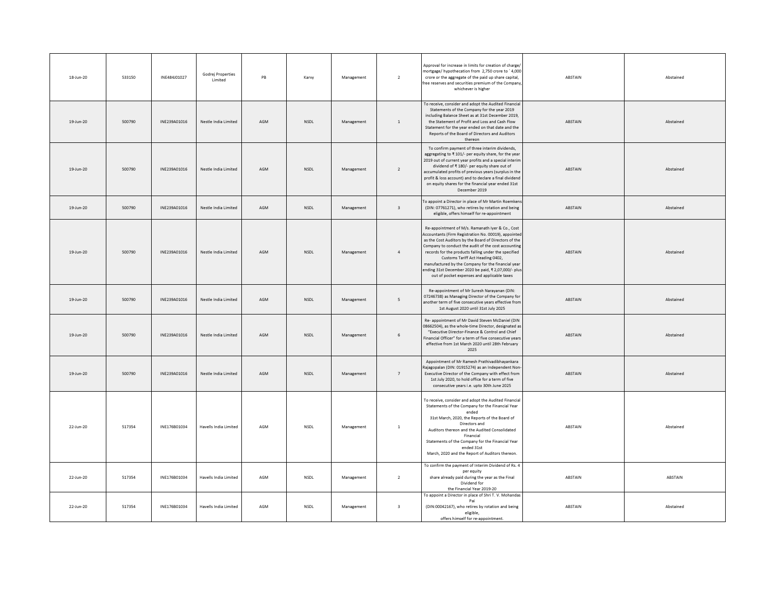| 18-Jun-20 | 533150 | INE484J01027 | Godrej Properties<br><b>Limited</b> | PB  | Karvy       | Management | $\overline{2}$           | Approval for increase in limits for creation of charge/<br>mortgage/ hypothecation from 2,750 crore to `4,000<br>crore or the aggregate of the paid up share capital,<br>free reserves and securities premium of the Company<br>whichever is higher                                                                                                                                                                                                                              | <b>ABSTAIN</b> | Abstained |
|-----------|--------|--------------|-------------------------------------|-----|-------------|------------|--------------------------|----------------------------------------------------------------------------------------------------------------------------------------------------------------------------------------------------------------------------------------------------------------------------------------------------------------------------------------------------------------------------------------------------------------------------------------------------------------------------------|----------------|-----------|
| 19-Jun-20 | 500790 | INF239A01016 | Nestle India Limited                | AGM | <b>NSDL</b> | Management | $\mathbf{1}$             | To receive, consider and adopt the Audited Financial<br>Statements of the Company for the year 2019<br>including Balance Sheet as at 31st December 2019,<br>the Statement of Profit and Loss and Cash Flow<br>Statement for the year ended on that date and the<br>Reports of the Board of Directors and Auditors<br>thereon                                                                                                                                                     | ABSTAIN        | Abstained |
| 19-Jun-20 | 500790 | INE239A01016 | Nestle India Limited                | AGM | NSDL        | Management | $\overline{2}$           | To confirm payment of three interim dividends,<br>aggregating to ₹ 101/- per equity share, for the year<br>2019 out of current year profits and a special interin<br>dividend of ₹180/- per equity share out of<br>accumulated profits of previous years (surplus in the<br>profit & loss account) and to declare a final dividend<br>on equity shares for the financial year ended 31st<br>December 2019                                                                        | ABSTAIN        | Abstained |
| 19-Jun-20 | 500790 | INE239A01016 | Nestle India Limited                | AGM | <b>NSDL</b> | Management | $\overline{\mathbf{3}}$  | To appoint a Director in place of Mr Martin Roemker<br>(DIN: 07761271), who retires by rotation and being<br>eligible, offers himself for re-appointment                                                                                                                                                                                                                                                                                                                         | ABSTAIN        | Abstained |
| 19-Jun-20 | 500790 | INF239A01016 | Nestle India Limited                | AGM | <b>NSDI</b> | Management | $\overline{4}$           | Re-appointment of M/s. Ramanath Iyer & Co., Cost<br>Accountants (Firm Registration No. 00019), appointed<br>as the Cost Auditors by the Board of Directors of the<br>Company to conduct the audit of the cost accountin<br>records for the products falling under the specified<br>Customs Tariff Act Heading 0402.<br>manufactured by the Company for the financial year<br>ending 31st December 2020 be paid, ₹ 2,07,000/- plus<br>out of pocket expenses and applicable taxes | <b>ABSTAIN</b> | Abstained |
| 19-Jun-20 | 500790 | INE239A01016 | Nestle India Limited                | AGM | <b>NSDL</b> | Management | $\overline{\phantom{0}}$ | Re-appointment of Mr Suresh Narayanan (DIN:<br>07246738) as Managing Director of the Company for<br>another term of five consecutive years effective fron<br>1st August 2020 until 31st July 2025                                                                                                                                                                                                                                                                                | ABSTAIN        | Abstained |
| 19-Jun-20 | 500790 | INE239A01016 | Nestle India Limited                | AGM | <b>NSDL</b> | Management | 6                        | Re- appointment of Mr David Steven McDaniel (DIN<br>08662504), as the whole-time Director, designated as<br>"Executive Director-Finance & Control and Chief<br>Financial Officer" for a term of five consecutive years<br>effective from 1st March 2020 until 28th February<br>2025                                                                                                                                                                                              | ABSTAIN        | Abstained |
| 19-Jun-20 | 500790 | INF239A01016 | Nestle India Limited                | AGM | NSDL        | Management | $\overline{7}$           | Appointment of Mr Ramesh Prathivadibhavankara<br>Rajagopalan (DIN: 01915274) as an Independent Non<br>Executive Director of the Company with effect from<br>1st July 2020, to hold office for a term of five<br>consecutive years i.e. upto 30th June 2025                                                                                                                                                                                                                       | ABSTAIN        | Abstained |
| 22-Jun-20 | 517354 | INE176B01034 | Havells India Limited               | AGM | <b>NSDL</b> | Management | $\overline{1}$           | To receive, consider and adopt the Audited Financial<br>Statements of the Company for the Financial Year<br>ended<br>31st March, 2020, the Reports of the Board of<br>Directors and<br>Auditors thereon and the Audited Consolidated<br>Financial<br>Statements of the Company for the Financial Year<br>ended 31st<br>March, 2020 and the Report of Auditors thereon.                                                                                                           | ABSTAIN        | Abstained |
| 22-Jun-20 | 517354 | INE176B01034 | Havells India Limited               | AGM | <b>NSDL</b> | Management | $\overline{2}$           | To confirm the payment of Interim Dividend of Rs. 4<br>per equity<br>share already paid during the year as the Final<br>Dividend for<br>the Financial Year 2019-20                                                                                                                                                                                                                                                                                                               | ABSTAIN        | ABSTAIN   |
| 22-Jun-20 | 517354 | INE176B01034 | Havells India Limited               | AGM | <b>NSDL</b> | Management | $\overline{\mathbf{3}}$  | To appoint a Director in place of Shri T. V. Mohandas<br>Pai<br>(DIN:00042167), who retires by rotation and being<br>eligible,<br>offers himself for re-appointment.                                                                                                                                                                                                                                                                                                             | <b>ABSTAIN</b> | Abstained |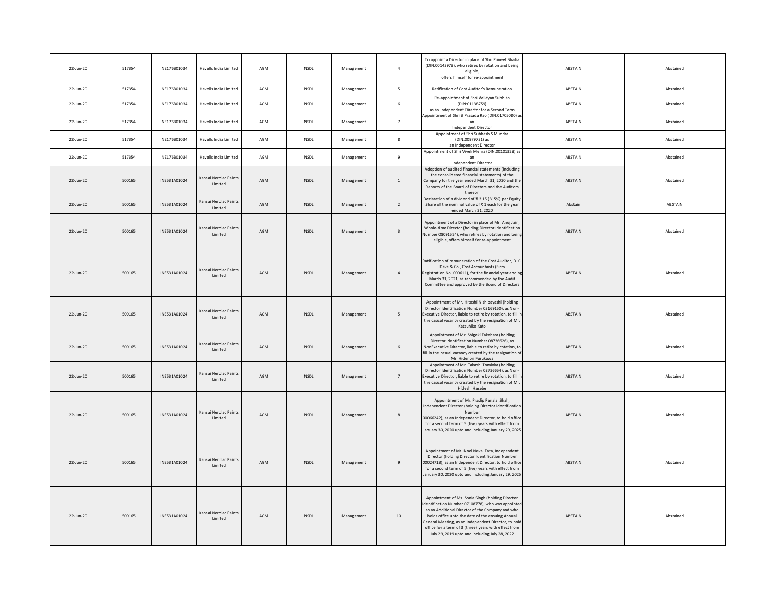| 22-Jun-20              | 517354 | INE176B01034 | Havells India Limited                   | AGM | NSDL        | Management | $\overline{4}$          | To appoint a Director in place of Shri Puneet Bhatia<br>(DIN:00143973), who retires by rotation and being<br>eligible,<br>offers himself for re-appointment                                                                                                                                                                                                                       | ABSTAIN | Abstained |
|------------------------|--------|--------------|-----------------------------------------|-----|-------------|------------|-------------------------|-----------------------------------------------------------------------------------------------------------------------------------------------------------------------------------------------------------------------------------------------------------------------------------------------------------------------------------------------------------------------------------|---------|-----------|
| 22-Jun-20              | 517354 | INF176B01034 | Havells India Limited                   | AGM | <b>NSDI</b> | Management | 5                       | Ratification of Cost Auditor's Remuneration                                                                                                                                                                                                                                                                                                                                       | ABSTAIN | Abstained |
| 22-Jun-20              | 517354 | INF176B01034 | <b>Havells India Limited</b>            | AGM | <b>NSDI</b> | Management | 6                       | Re-appointment of Shri Vellayan Subbiah<br>(DIN:01138759)<br>as an Independent Director for a Second Term                                                                                                                                                                                                                                                                         | ABSTAIN | Abstained |
| 22-Jun-20              | 517354 | INE176B01034 | Havells India Limited                   | AGM | <b>NSDL</b> | Management | $\overline{7}$          | Appointment of Shri B Prasada Rao (DIN:01705080) as<br>an<br>Independent Director                                                                                                                                                                                                                                                                                                 | ABSTAIN | Abstained |
| 22-Jun-20              | 517354 | INE176B01034 | Havells India Limited                   | AGM | NSDL        | Management | $\boldsymbol{8}$        | Appointment of Shri Subhash S Mundra<br>(DIN:00979731) as<br>an Independent Director                                                                                                                                                                                                                                                                                              | ABSTAIN | Abstained |
| 22-Jun-20              | 517354 | INE176B01034 | Havells India Limited                   | AGM | <b>NSDL</b> | Management | 9                       | Appointment of Shri Vivek Mehra (DIN:00101328) as<br>an<br>Independent Director                                                                                                                                                                                                                                                                                                   | ABSTAIN | Abstained |
| 22-Jun-20              | 500165 | INE531A01024 | Kansai Nerolac Paints<br>Limited        | AGM | <b>NSDL</b> | Management | $\overline{1}$          | Adoption of audited financial statements (including<br>the consolidated financial statements) of the<br>Company for the year ended March 31, 2020 and the<br>Reports of the Board of Directors and the Auditors<br>thereon                                                                                                                                                        | ABSTAIN | Abstained |
| 22-Jun-20              | 500165 | INE531A01024 | Kansai Nerolac Paints<br>Limited        | AGM | <b>NSDL</b> | Management | $\overline{2}$          | Declaration of a dividend of ₹3.15 (315%) per Equity<br>Share of the nominal value of ₹1 each for the year<br>ended March 31, 2020                                                                                                                                                                                                                                                | Abstain | ABSTAIN   |
| 22-Jun-20              | 500165 | INE531A01024 | Kansai Nerolac Paints<br>Limited        | AGM | NSDL        | Management | $\overline{\mathbf{3}}$ | Appointment of a Director in place of Mr. Anuj Jain,<br>Whole-time Director (holding Director Identification<br>Number 08091524), who retires by rotation and bein<br>eligible, offers himself for re-appointment                                                                                                                                                                 | ABSTAIN | Abstained |
| 22-Jun-20              | 500165 | INE531A01024 | Kansai Nerolac Paints<br>Limited        | AGM | NSDL        | Management | $\overline{4}$          | Ratification of remuneration of the Cost Auditor, D. C<br>Dave & Co., Cost Accountants (Firm<br>Registration No. 000611), for the financial year endin<br>March 31, 2021, as recommended by the Audit<br>Committee and approved by the Board of Directors                                                                                                                         | ABSTAIN | Abstained |
| $22 - \text{Jun} - 20$ | 500165 | INF531A01024 | Kansai Nerolac Paints<br>Limited        | AGM | <b>NSDI</b> | Management | $\overline{5}$          | Appointment of Mr. Hitoshi Nishibayashi (holding<br>Director Identification Number 03169150), as Non-<br>Executive Director, liable to retire by rotation, to fill i<br>the casual vacancy created by the resignation of Mr<br>Katsuhiko Kato                                                                                                                                     | ABSTAIN | Abstained |
| 22-Jun-20              | 500165 | INE531A01024 | Kansai Nerolac Paints<br>Limited        | AGM | NSDL        | Management | $\,$ 6                  | Appointment of Mr. Shigeki Takahara (holding<br>Director Identification Number 08736626), as<br>NonExecutive Director, liable to retire by rotation, to<br>fill in the casual vacancy created by the resignation of<br>Mr. Hidenori Furukawa                                                                                                                                      | ABSTAIN | Abstained |
| 22-Jun-20              | 500165 | INE531A01024 | Kansai Nerolac Paints<br>Limited        | AGM | NSDL        | Management | $7\overline{ }$         | Appointment of Mr. Takashi Tomioka (holding<br>Director Identification Number 08736654), as Non-<br>Executive Director, liable to retire by rotation, to fill i<br>the casual vacancy created by the resignation of Mr<br>Hideshi Hasebe                                                                                                                                          | ABSTAIN | Abstained |
| 22-Jun-20              | 500165 | INF531A01024 | Kansai Nerolac Paints<br>Limited        | AGM | <b>NSDL</b> | Management | 8                       | Appointment of Mr. Pradip Panalal Shah,<br>Independent Director (holding Director Identification<br>Number<br>00066242), as an Independent Director, to hold office<br>for a second term of 5 (five) years with effect from<br>January 30, 2020 upto and including January 29, 2025                                                                                               | ABSTAIN | Abstained |
| 22-Jun-20              | 500165 | INF531A01024 | Kansai Nerolac Paints<br><b>Limited</b> | AGM | <b>NSDI</b> | Management | $\overline{9}$          | Appointment of Mr. Noel Naval Tata, Independent<br>Director (holding Director Identification Number<br>00024713), as an Independent Director, to hold offic<br>for a second term of 5 (five) years with effect from<br>January 30, 2020 upto and including January 29, 2025                                                                                                       | ABSTAIN | Abstained |
| 22-Jun-20              | 500165 | INE531A01024 | Kansai Nerolac Paints<br>Limited        | AGM | NSDL        | Management | $10$                    | Appointment of Ms. Sonia Singh (holding Director<br>Identification Number 07108778), who was appointed<br>as an Additional Director of the Company and who<br>holds office upto the date of the ensuing Annual<br>General Meeting, as an Independent Director, to hold<br>office for a term of 3 (three) years with effect from<br>July 29, 2019 upto and including July 28, 2022 | ABSTAIN | Abstained |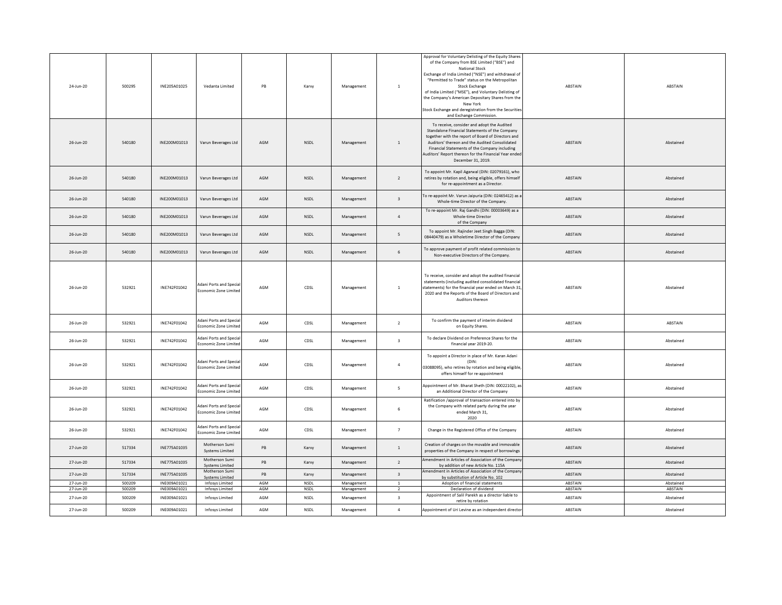| 24-Jun-20              | 500295           | INF205A01025                 | Vedanta Limited                                         | <b>PB</b>     | Karvy               | Management               | $\overline{1}$                   | Approval for Voluntary Delisting of the Equity Shares<br>of the Company from BSE Limited ("BSE") and<br><b>National Stock</b><br>Exchange of India Limited ("NSE") and withdrawal of<br>"Permitted to Trade" status on the Metropolitan<br><b>Stock Exchange</b><br>of India Limited ("MSE"), and Voluntary Delisting of<br>the Company's American Depositary Shares from the<br>New York<br>Stock Exchange and deregistration from the Securitie<br>and Exchange Commission. | <b>ABSTAIN</b>     | <b>ABSTAIN</b>       |
|------------------------|------------------|------------------------------|---------------------------------------------------------|---------------|---------------------|--------------------------|----------------------------------|-------------------------------------------------------------------------------------------------------------------------------------------------------------------------------------------------------------------------------------------------------------------------------------------------------------------------------------------------------------------------------------------------------------------------------------------------------------------------------|--------------------|----------------------|
| 26-Jun-20              | 540180           | INE200M01013                 | Varun Beverages Ltd                                     | AGM           | <b>NSDL</b>         | Management               | $\mathbf{1}$                     | To receive, consider and adopt the Audited<br>Standalone Financial Statements of the Company<br>together with the report of Board of Directors and<br>Auditors' thereon and the Audited Consolidated<br>Financial Statements of the Company including<br>Auditors' Report thereon for the Financial Year endec<br>December 31, 2019.                                                                                                                                          | ABSTAIN            | Abstained            |
| 26-Jun-20              | 540180           | INE200M01013                 | Varun Beverages Ltd                                     | AGM           | <b>NSDL</b>         | Management               | $\overline{2}$                   | To appoint Mr. Kapil Agarwal (DIN: 02079161), who<br>retires by rotation and, being eligible, offers himself<br>for re-appointment as a Director.                                                                                                                                                                                                                                                                                                                             | ABSTAIN            | Abstained            |
| 26-Jun-20              | 540180           | INE200M01013                 | Varun Beverages Ltd                                     | AGM           | NSDL                | Management               | $\overline{\mathbf{3}}$          | To re-appoint Mr. Varun Jaipuria (DIN: 02465412) as a<br>Whole-time Director of the Company                                                                                                                                                                                                                                                                                                                                                                                   | ABSTAIN            | Abstained            |
| 26-Jun-20              | 540180           | INE200M01013                 | Varun Beverages Ltd                                     | AGM           | <b>NSDL</b>         | Management               | $\overline{4}$                   | To re-appoint Mr. Raj Gandhi (DIN: 00003649) as a<br>Whole-time Director<br>of the Company                                                                                                                                                                                                                                                                                                                                                                                    | ABSTAIN            | Abstained            |
| 26-Jun-20              | 540180           | INE200M01013                 | Varun Beverages Ltd                                     | AGM           | <b>NSDL</b>         | Management               | 5                                | To appoint Mr. Rajinder Jeet Singh Bagga (DIN:<br>08440479) as a Wholetime Director of the Company                                                                                                                                                                                                                                                                                                                                                                            | ABSTAIN            | Abstained            |
| 26-Jun-20              | 540180           | INE200M01013                 | Varun Beverages Ltd                                     | AGM           | <b>NSDL</b>         | Management               | 6                                | To approve payment of profit related commission to<br>Non-executive Directors of the Company                                                                                                                                                                                                                                                                                                                                                                                  | <b>ABSTAIN</b>     | Abstained            |
| 26-Jun-20              | 532921           | INE742F01042                 | Adani Ports and Specia<br>Economic Zone Limited         | AGM           | CDSL                | Management               | <sup>1</sup>                     | To receive, consider and adopt the audited financial<br>statements (including audited consolidated financial<br>statements) for the financial year ended on March 31<br>2020 and the Reports of the Board of Directors and<br>Auditors thereon                                                                                                                                                                                                                                | ABSTAIN            | Abstained            |
| 26-Jun-20              | 532921           | INE742F01042                 | Adani Ports and Specia<br>Economic Zone Limited         | AGM           | CDSL                | Management               | $\overline{2}$                   | To confirm the payment of interim dividend<br>on Equity Shares.                                                                                                                                                                                                                                                                                                                                                                                                               | <b>ABSTAIN</b>     | ABSTAIN              |
| 26-Jun-20              | 532921           | INE742F01042                 | Adani Ports and Specia<br>Economic Zone Limited         | AGM           | CDSL                | Management               | $\overline{\mathbf{3}}$          | To declare Dividend on Preference Shares for the<br>financial year 2019-20.                                                                                                                                                                                                                                                                                                                                                                                                   | ABSTAIN            | Abstained            |
| 26-Jun-20              | 532921           | INE742F01042                 | Adani Ports and Specia<br>Economic Zone Limited         | AGM           | CDSL                | Management               | $\overline{4}$                   | To appoint a Director in place of Mr. Karan Adani<br>(DIN:<br>03088095), who retires by rotation and being eligible<br>offers himself for re-appointment                                                                                                                                                                                                                                                                                                                      | ABSTAIN            | Abstained            |
| 26-Jun-20              | 532921           | INE742F01042                 | Adani Ports and Specia<br><b>Economic Zone Limited</b>  | AGM           | CDSL                | Management               | 5                                | Appointment of Mr. Bharat Sheth (DIN: 00022102), as<br>an Additional Director of the Company                                                                                                                                                                                                                                                                                                                                                                                  | ABSTAIN            | Abstained            |
| 26-Jun-20              | 532921           | INE742F01042                 | <b>Adani Ports and Special</b><br>Economic Zone Limited | AGM           | CDSL                | Management               | 6                                | Ratification /approval of transaction entered into by<br>the Company with related party during the year<br>ended March 31,<br>2020                                                                                                                                                                                                                                                                                                                                            | ABSTAIN            | Abstained            |
| 26-Jun-20              | 532921           | INE742F01042                 | Adani Ports and Specia<br>Economic Zone Limited         | AGM           | CDSL                | Management               | $\overline{7}$                   | Change in the Registered Office of the Company                                                                                                                                                                                                                                                                                                                                                                                                                                | <b>ABSTAIN</b>     | Abstained            |
| 27-Jun-20              | 517334           | INE775A01035                 | Motherson Sumi<br>Systems Limited                       | PB            | Karvy               | Management               | $\,$ 1                           | Creation of charges on the movable and immovable<br>properties of the Company in respect of borrowings                                                                                                                                                                                                                                                                                                                                                                        | ABSTAIN            | Abstained            |
| 27-Jun-20              | 517334           | INE775A01035                 | Motherson Sumi<br>Systems Limited                       | $\mathsf{PB}$ | Karvy               | Management               | $\overline{2}$                   | Amendment in Articles of Association of the Company<br>by addition of new Article No. 115A                                                                                                                                                                                                                                                                                                                                                                                    | ABSTAIN            | Abstained            |
| 27-Jun-20              | 517334           | INE775A01035                 | Motherson Sumi<br>Systems Limited                       | PB            | Karvy               | Management               | $\overline{\mathbf{3}}$          | Amendment in Articles of Association of the Company<br>by substitution of Article No. 102                                                                                                                                                                                                                                                                                                                                                                                     | ABSTAIN            | Abstained            |
| 27-Jun-20<br>27-Jun-20 | 500209<br>500209 | INE009A01021<br>INE009A01021 | Infosys Limited<br>Infosys Limited                      | AGM<br>AGM    | <b>NSDL</b><br>NSDL | Management<br>Management | $\overline{1}$<br>$\overline{2}$ | Adoption of financial statements<br>Declaration of dividend                                                                                                                                                                                                                                                                                                                                                                                                                   | ABSTAIN<br>ABSTAIN | Abstained<br>ABSTAIN |
| 27-Jun-20              | 500209           | INE009A01021                 | Infosys Limited                                         | AGM           | NSDL                | Management               | $\overline{\mathbf{3}}$          | Appointment of Salil Parekh as a director liable to                                                                                                                                                                                                                                                                                                                                                                                                                           | ABSTAIN            | Abstained            |
| 27-Jun-20              | 500209           | INE009A01021                 | Infosys Limited                                         | AGM           | <b>NSDL</b>         | Management               | $\overline{4}$                   | retire by rotation<br>Appointment of Uri Levine as an independent directo                                                                                                                                                                                                                                                                                                                                                                                                     | ABSTAIN            | Abstained            |